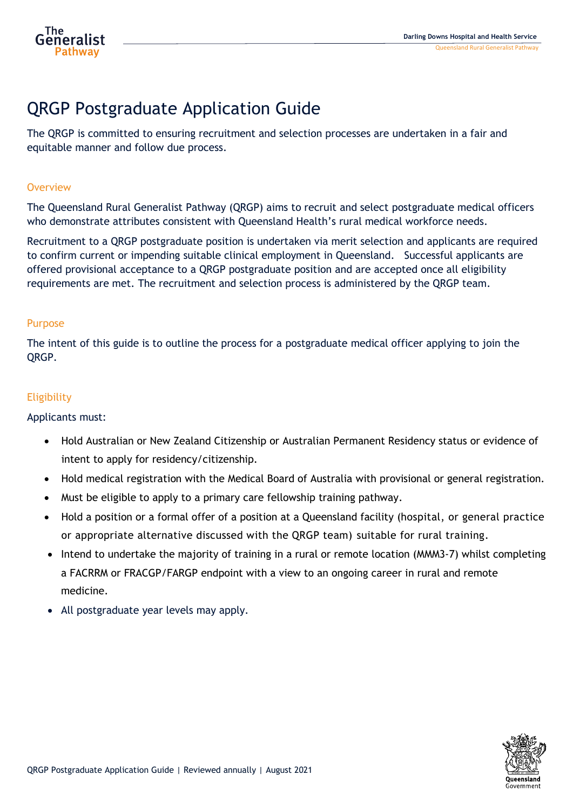

# QRGP Postgraduate Application Guide

The QRGP is committed to ensuring recruitment and selection processes are undertaken in a fair and equitable manner and follow due process.

## **Overview**

The Queensland Rural Generalist Pathway (QRGP) aims to recruit and select postgraduate medical officers who demonstrate attributes consistent with Queensland Health's rural medical workforce needs.

Recruitment to a QRGP postgraduate position is undertaken via merit selection and applicants are required to confirm current or impending suitable clinical employment in Queensland. Successful applicants are offered provisional acceptance to a QRGP postgraduate position and are accepted once all eligibility requirements are met. The recruitment and selection process is administered by the QRGP team.

# Purpose

The intent of this guide is to outline the process for a postgraduate medical officer applying to join the QRGP.

# **Eligibility**

### Applicants must:

- Hold Australian or New Zealand Citizenship or Australian Permanent Residency status or evidence of intent to apply for residency/citizenship.
- Hold medical registration with the Medical Board of Australia with provisional or general registration.
- Must be eligible to apply to a primary care fellowship training pathway.
- Hold a position or a formal offer of a position at a Queensland facility (hospital, or general practice or appropriate alternative discussed with the QRGP team) suitable for rural training.
- Intend to undertake the majority of training in a rural or remote location (MMM3-7) whilst completing a FACRRM or FRACGP/FARGP endpoint with a view to an ongoing career in rural and remote medicine.
- All postgraduate year levels may apply.